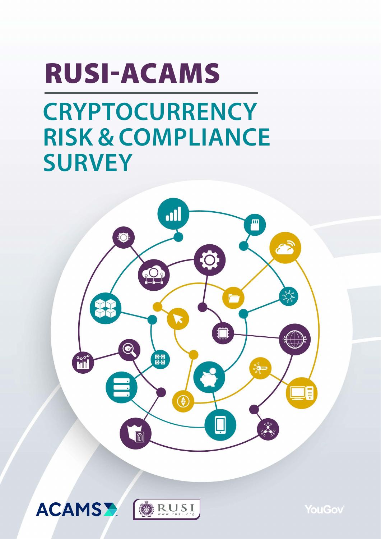# RUSI-ACAMS

# **CRYPTOCURRENCY RISK & COMPLIANCE SURVEY**







**YouGov**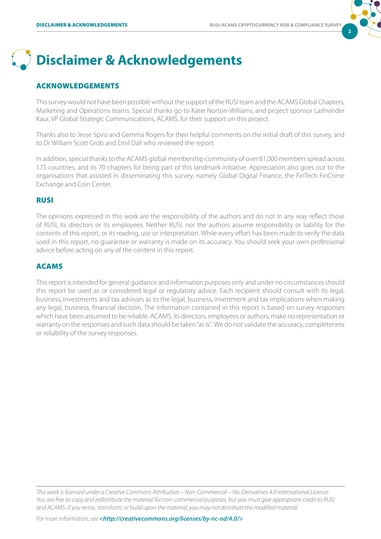**2**



#### ACKNOWLEDGEMENTS

This survey would not have been possible without the support of the RUSI team and the ACAMS Global Chapters, Marketing and Operations teams. Special thanks go to Katie Norton-Williams, and project sponsor Lashvinder Kaur, VP Global Strategic Communications, ACAMS, for their support on this project.

Thanks also to Jesse Spiro and Gemma Rogers for their helpful comments on the initial draft of this survey, and to Dr William Scott Grob and Emil Dall who reviewed the report.

In addition, special thanks to the ACAMS global membership community of over 81,000 members spread across 175 countries, and its 70 chapters for being part of this landmark initiative. Appreciation also goes out to the organisations that assisted in disseminating this survey, namely Global Digital Finance, the FinTech FinCrime Exchange and Coin Center.

#### RUSI

The opinions expressed in this work are the responsibility of the authors and do not in any way reflect those of RUSI, its directors or its employees. Neither RUSI, nor the authors assume responsibility or liability for the contents of this report, or its reading, use or interpretation. While every effort has been made to verify the data used in this report, no guarantee or warranty is made on its accuracy. You should seek your own professional advice before acting on any of the content in this report.

#### ACAMS

This report is intended for general guidance and information purposes only and under no circumstances should this report be used as or considered legal or regulatory advice. Each recipient should consult with its legal, business, investments and tax advisors as to the legal, business, investment and tax implications when making any legal, business, financial decision. The information contained in this report is based on survey responses which have been assumed to be reliable. ACAMS, its directors, employees or authors, make no representation or warranty on the responses and such data should be taken "as is". We do not validate the accuracy, completeness or reliability of the survey responses.

*This work is licensed under a Creative Commons Attribution – Non-Commercial – No-Derivatives 4.0 International Licence. You are free to copy and redistribute the material for non-commercial purposes, but you must give appropriate credit to RUSI and ACAMS. If you remix, transform, or build upon the material, you may not distribute the modified material.*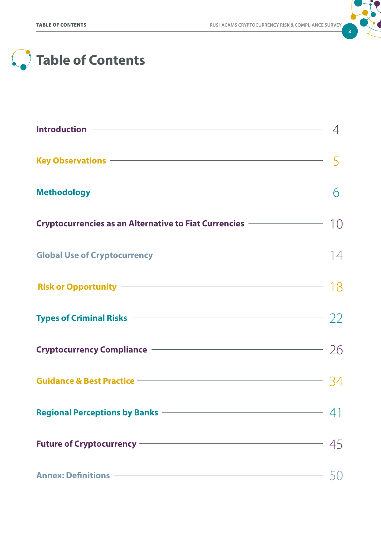

# **Table of Contents**

| Key Observations – Samuel Communication of the Second Second Second Second Second Second Second Second Second S                                                                                                                      |    |
|--------------------------------------------------------------------------------------------------------------------------------------------------------------------------------------------------------------------------------------|----|
| Methodology <b>Executive Contract Contract Contract Contract Contract Contract Contract Contract Contract Contract Contract Contract Contract Contract Contract Contract Contract Contract Contract Contract Contract Contract C</b> | 6  |
| Cryptocurrencies as an Alternative to Fiat Currencies $\sim$ 10                                                                                                                                                                      |    |
|                                                                                                                                                                                                                                      |    |
|                                                                                                                                                                                                                                      |    |
| Types of Criminal Risks $\sim$ 22                                                                                                                                                                                                    |    |
| Cryptocurrency Compliance –––––––––––––––––––––––––––––––26                                                                                                                                                                          |    |
| Guidance & Best Practice <u>————————————————————</u>                                                                                                                                                                                 |    |
| Regional Perceptions by Banks <b>Constanting Construction</b>                                                                                                                                                                        |    |
| Future of Cryptocurrency <b>Contains a Community Contains and Contains a Container Contains and Contains a Contains</b>                                                                                                              | 45 |
| Annex: Definitions <u>and the contract of the contract of the contract of the contract of the contract of the contract of the contract of the contract of the contract of the contract of the contract of the contract of the co</u> |    |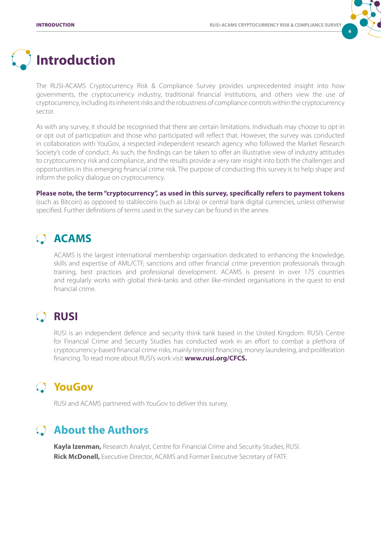

# **Introduction**

The RUSI-ACAMS Cryptocurrency Risk & Compliance Survey provides unprecedented insight into how governments, the cryptocurrency industry, traditional financial institutions, and others view the use of cryptocurrency, including its inherent risks and the robustness of compliance controls within the cryptocurrency sector.

As with any survey, it should be recognised that there are certain limitations. Individuals may choose to opt in or opt out of participation and those who participated will reflect that. However, the survey was conducted in collaboration with YouGov, a respected independent research agency who followed the Market Research Society's code of conduct. As such, the findings can be taken to offer an illustrative view of industry attitudes to cryptocurrency risk and compliance, and the results provide a very rare insight into both the challenges and opportunities in this emerging financial crime risk. The purpose of conducting this survey is to help shape and inform the policy dialogue on cryptocurrency.

#### **Please note, the term "cryptocurrency", as used in this survey, specifically refers to payment tokens**

(such as Bitcoin) as opposed to stablecoins (such as Libra) or central bank digital currencies, unless otherwise specified. Further definitions of terms used in the survey can be found in the annex.

# **ACAMS**

ACAMS is the largest international membership organisation dedicated to enhancing the knowledge, skills and expertise of AML/CTF, sanctions and other financial crime prevention professionals through training, best practices and professional development. ACAMS is present in over 175 countries and regularly works with global think-tanks and other like-minded organisations in the quest to end financial crime.

# **RUSI**

RUSI is an independent defence and security think tank based in the United Kingdom. RUSI's Centre for Financial Crime and Security Studies has conducted work in an effort to combat a plethora of cryptocurrency-based financial crime risks, mainly terrorist financing, money laundering, and proliferation financing. To read more about RUSI's work visit **[www.rusi.org/CFCS.](https://rusi.org/expertise/research/centre-financial-crime-and-security-studies)**

## **YouGov**

RUSI and ACAMS partnered with YouGov to deliver this survey.

## **About the Authors**

**Kayla Izenman,** Research Analyst, Centre for Financial Crime and Security Studies, RUSI. **Rick McDonell,** Executive Director, ACAMS and Former Executive Secretary of FATF.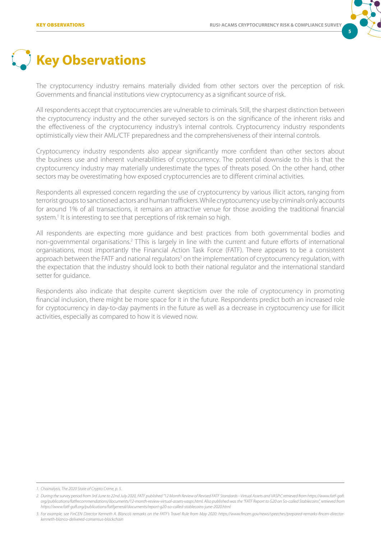

# **Key Observations**

The cryptocurrency industry remains materially divided from other sectors over the perception of risk. Governments and financial institutions view cryptocurrency as a significant source of risk.

All respondents accept that cryptocurrencies are vulnerable to criminals. Still, the sharpest distinction between the cryptocurrency industry and the other surveyed sectors is on the significance of the inherent risks and the effectiveness of the cryptocurrency industry's internal controls. Cryptocurrency industry respondents optimistically view their AML/CTF preparedness and the comprehensiveness of their internal controls.

Cryptocurrency industry respondents also appear significantly more confident than other sectors about the business use and inherent vulnerabilities of cryptocurrency. The potential downside to this is that the cryptocurrency industry may materially underestimate the types of threats posed. On the other hand, other sectors may be overestimating how exposed cryptocurrencies are to different criminal activities.

Respondents all expressed concern regarding the use of cryptocurrency by various illicit actors, ranging from terrorist groups to sanctioned actors and human traffickers. While cryptocurrency use by criminals only accounts for around 1% of all transactions, it remains an attractive venue for those avoiding the traditional financial system.<sup>1</sup> It is interesting to see that perceptions of risk remain so high.

All respondents are expecting more guidance and best practices from both governmental bodies and non-governmental organisations.<sup>2</sup> TThis is largely in line with the current and future efforts of international organisations, most importantly the Financial Action Task Force (FATF). There appears to be a consistent approach between the FATF and national regulators<sup>3</sup> on the implementation of cryptocurrency regulation, with the expectation that the industry should look to both their national regulator and the international standard setter for guidance.

Respondents also indicate that despite current skepticism over the role of cryptocurrency in promoting financial inclusion, there might be more space for it in the future. Respondents predict both an increased role for cryptocurrency in day-to-day payments in the future as well as a decrease in cryptocurrency use for illicit activities, especially as compared to how it is viewed now.

*<sup>1.</sup> Chainalysis, The 2020 State of Crypto Crime, p. 5.*

*<sup>2.</sup> During the survey period from 3rd June to 22nd July 2020, FATF published "12 Month Review of Revised FATF Standards - Virtual Assets and VASPs", retrieved from https://www.fatf-gafi. org/publications/fatfrecommendations/documents/12-month-review-virtual-assets-vasps.html. Also published was the "FATF Report to G20 on So-called Stablecoins", retrieved from https://www.fatf-gafi.org/publications/fatfgeneral/documents/report-g20-so-called-stablecoins-june-2020.html*

*<sup>3.</sup> For example, see FinCEN Director Kenneth A. Blanco's remarks on the FATF's Travel Rule from May 2020: https://www.fincen.gov/news/speeches/prepared-remarks-fincen-directorkenneth-blanco-delivered-consensus-blockchain*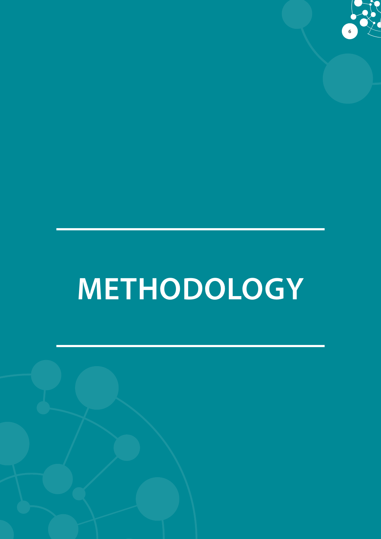

# **METHODOLOGY**

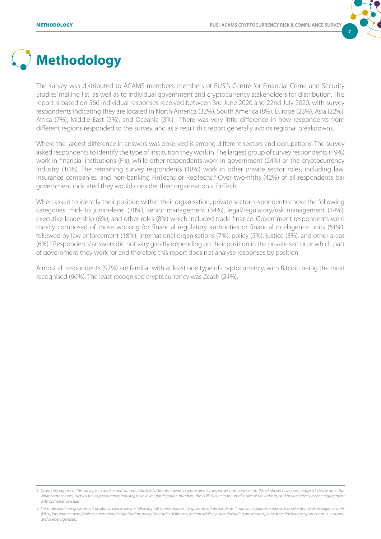

# **Methodology**

The survey was distributed to ACAMS members, members of RUSI's Centre for Financial Crime and Security Studies' mailing list, as well as to individual government and cryptocurrency stakeholders for distribution. This report is based on 566 individual responses received between 3rd June 2020 and 22nd July 2020, with survey respondents indicating they are located in North America (32%), South America (8%), Europe (23%), Asia (22%), Africa (7%), Middle East (5%), and Oceania (3%). There was very little difference in how respondents from different regions responded to the survey, and as a result this report generally avoids regional breakdowns.

Where the largest difference in answers was observed is among different sectors and occupations. The survey asked respondents to identify the type of institution they work in. The largest group of survey respondents (49%) work in financial institutions (FIs), while other respondents work in government (24%) or the cryptocurrency industry (10%). The remaining survey respondents (18%) work in other private sector roles, including law, insurance companies, and non-banking FinTechs or RegTechs.4 Over two-fifths (42%) of all respondents bar government indicated they would consider their organisation a FinTech.

When asked to identify their position within their organisation, private sector respondents chose the following categories: mid- to junior-level (38%), senior management (34%), legal/regulatory/risk management (14%), executive leadership (6%), and other roles (8%) which included trade finance. Government respondents were mostly composed of those working for financial regulatory authorities or financial intelligence units (61%), followed by law enforcement (18%), international organisations (7%), policy (5%), justice (3%), and other areas (6%).<sup>5</sup> Respondents' answers did not vary greatly depending on their position in the private sector or which part of government they work for and therefore this report does not analyse responses by position.

Almost all respondents (97%) are familiar with at least one type of cryptocurrency, with Bitcoin being the most recognised (96%). The least recognised cryptocurrency was Zcash (24%).

*<sup>4.</sup> Given the purpose of this survey is to understand various industries' attitudes towards cryptocurrency, responses from four sectors (listed above) have been analysed. Please note that*  while some sectors, such as the cryptocurrency industry, have lower participation numbers, this is likely due to the smaller size of the industry and their relatively recent engagement *with compliance issues.* 

*<sup>5.</sup> For more detail on government positions, please see the following full survey options for government respondents: financial regulator; supervisor and/or financial intelligence units (FIUs); law enforcement (police); international organisation; policy (ministries of finance, foreign affairs); justice (including prosecutors); and other (including export controls, customs, and border agencies).*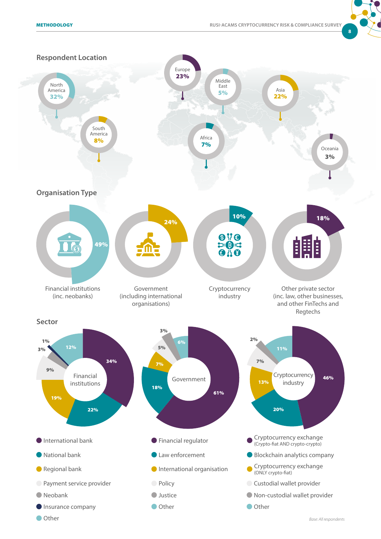

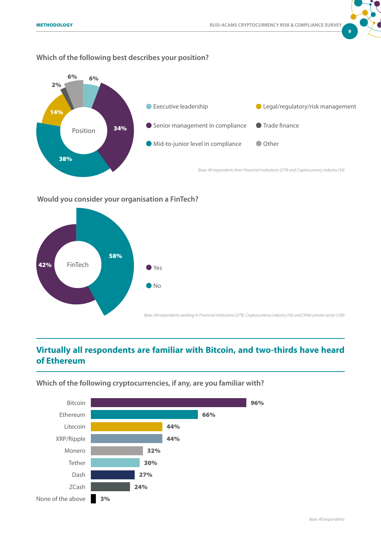

#### **Which of the following best describes your position?**



#### **Would you consider your organisation a FinTech?**



## **Virtually all respondents are familiar with Bitcoin, and two-thirds have heard of Ethereum**

**Which of the following cryptocurrencies, if any, are you familiar with?** 

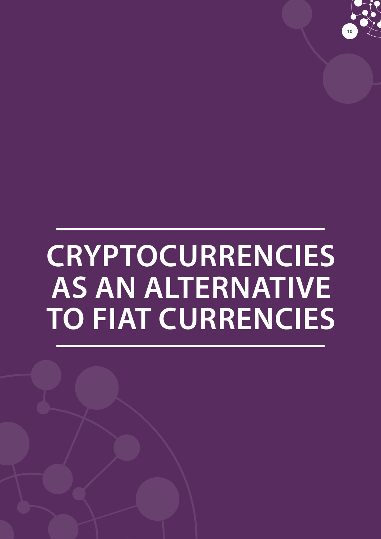

# **CRYPTOCURRENCIES AS AN ALTERNATIVE TO FIAT CURRENCIES**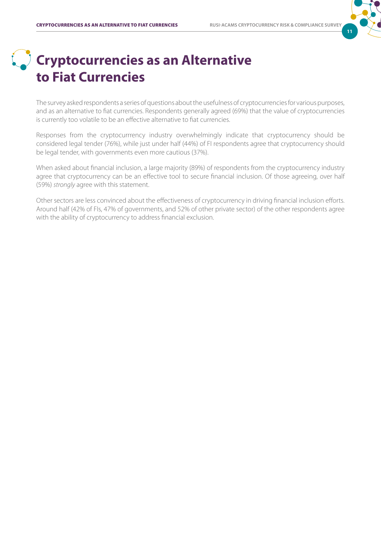# **11**

# **Cryptocurrencies as an Alternative to Fiat Currencies**

The survey asked respondents a series of questions about the usefulness of cryptocurrencies for various purposes, and as an alternative to fiat currencies. Respondents generally agreed (69%) that the value of cryptocurrencies is currently too volatile to be an effective alternative to fiat currencies.

Responses from the cryptocurrrency industry overwhelmingly indicate that cryptocurrency should be considered legal tender (76%), while just under half (44%) of FI respondents agree that cryptocurrency should be legal tender, with governments even more cautious (37%).

When asked about financial inclusion, a large majority (89%) of respondents from the cryptocurrency industry agree that cryptocurrency can be an effective tool to secure financial inclusion. Of those agreeing, over half (59%) *strongly* agree with this statement.

Other sectors are less convinced about the effectiveness of cryptocurrency in driving financial inclusion efforts. Around half (42% of FIs, 47% of governments, and 52% of other private sector) of the other respondents agree with the ability of cryptocurrency to address financial exclusion.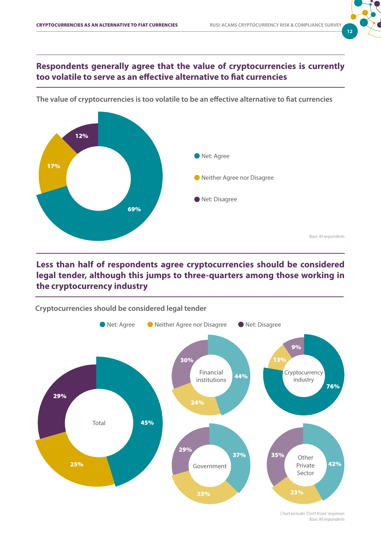# **12**

*Base: All respondents*

### **Respondents generally agree that the value of cryptocurrencies is currently too volatile to serve as an effective alternative to fiat currencies**



**The value of cryptocurrencies is too volatile to be an effective alternative to fiat currencies**

### **Less than half of respondents agree cryptocurrencies should be considered legal tender, although this jumps to three-quarters among those working in the cryptocurrency industry**



*Base: All respondents Chart excludes 'Don't Know' responses*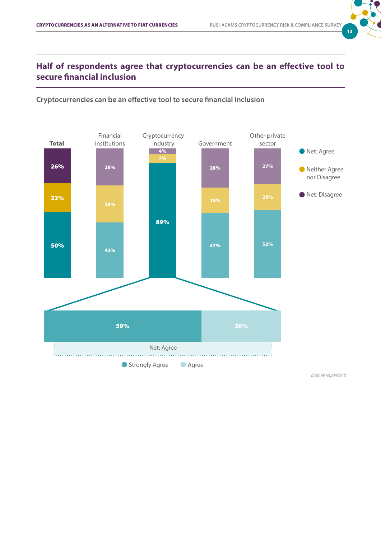

## **Half of respondents agree that cryptocurrencies can be an effective tool to secure financial inclusion**



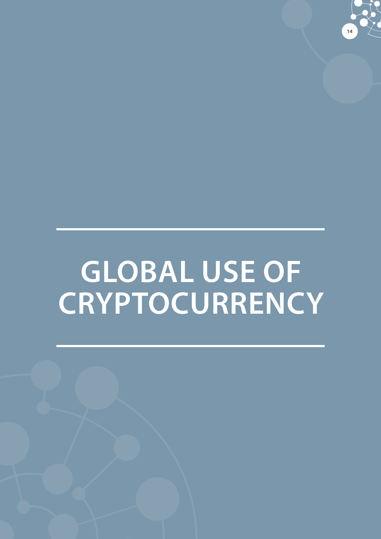

# **GLOBAL USE OF CRYPTOCURRENCY**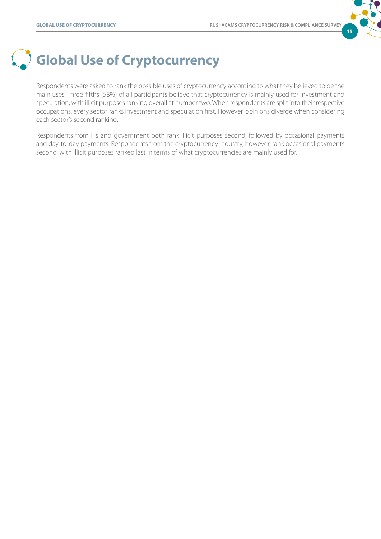

# **Global Use of Cryptocurrency**

Respondents were asked to rank the possible uses of cryptocurrency according to what they believed to be the main uses. Three-fifths (58%) of all participants believe that cryptocurrency is mainly used for investment and speculation, with illicit purposes ranking overall at number two. When respondents are split into their respective occupations, every sector ranks investment and speculation first. However, opinions diverge when considering each sector's second ranking.

Respondents from FIs and government both rank illicit purposes second, followed by occasional payments and day-to-day payments. Respondents from the cryptocurrency industry, however, rank occasional payments second, with illicit purposes ranked last in terms of what cryptocurrencies are mainly used for.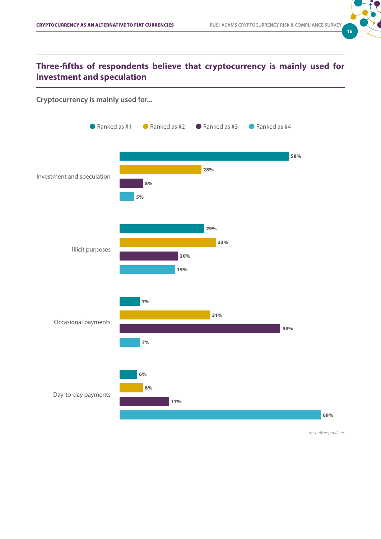

### **Three-fifths of respondents believe that cryptocurrency is mainly used for investment and speculation**

#### **Cryptocurrency is mainly used for...**

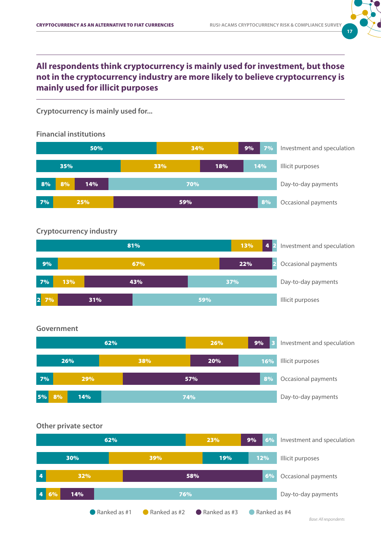

### **All respondents think cryptocurrency is mainly used for investment, but those not in the cryptocurrency industry are more likely to believe cryptocurrency is mainly used for illicit purposes**

**Cryptocurrency is mainly used for...**

**Financial institutions** 



#### **Cryptocurrency industry**



#### **Government**



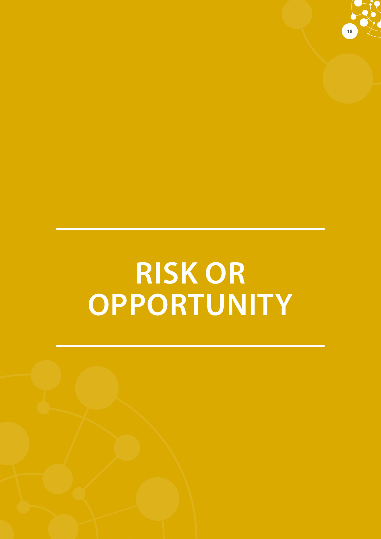

# **RISK OR OPPORTUNITY**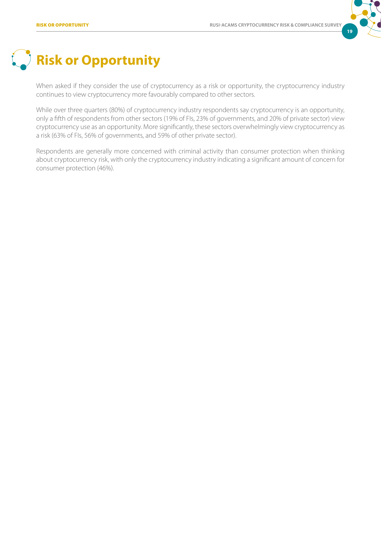

# **Risk or Opportunity**

When asked if they consider the use of cryptocurrency as a risk or opportunity, the cryptocurrency industry continues to view cryptocurrency more favourably compared to other sectors.

While over three quarters (80%) of cryptocurrency industry respondents say cryptocurrency is an opportunity, only a fifth of respondents from other sectors (19% of FIs, 23% of governments, and 20% of private sector) view cryptocurrency use as an opportunity. More significantly, these sectors overwhelmingly view cryptocurrency as a risk (63% of FIs, 56% of governments, and 59% of other private sector).

Respondents are generally more concerned with criminal activity than consumer protection when thinking about cryptocurrency risk, with only the cryptocurrency industry indicating a significant amount of concern for consumer protection (46%).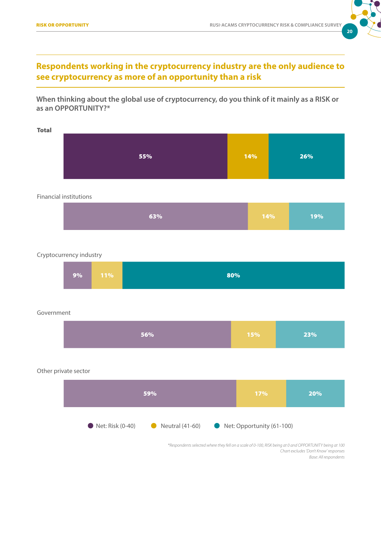

### **Respondents working in the cryptocurrency industry are the only audience to see cryptocurrency as more of an opportunity than a risk**

**When thinking about the global use of cryptocurrency, do you think of it mainly as a RISK or as an OPPORTUNITY?\***

| <b>Total</b> |     |     |     |
|--------------|-----|-----|-----|
|              |     |     |     |
|              | 55% | 14% | 26% |
|              |     |     |     |
|              |     |     |     |

#### Financial institutions

| 63%<br>$-14\%$<br>19% |
|-----------------------|
|-----------------------|

#### Cryptocurrency industry



#### Government

|--|

#### Other private sector



*Base: All respondents Chart excludes 'Don't Know' responses \*Respondents selected where they fell on a scale of 0-100, RISK being at 0 and OPPORTUNITY being at 100*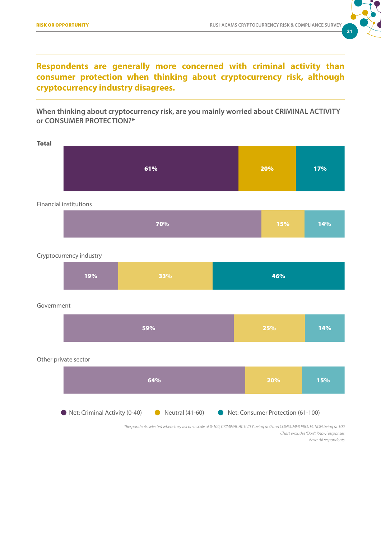

## **Respondents are generally more concerned with criminal activity than consumer protection when thinking about cryptocurrency risk, although cryptocurrency industry disagrees.**

**When thinking about cryptocurrency risk, are you mainly worried about CRIMINAL ACTIVITY or CONSUMER PROTECTION?\***

| <b>Total</b> | 61% | 20% | 17% |
|--------------|-----|-----|-----|
|              |     |     |     |

| 70% | 15% | 14% |
|-----|-----|-----|
|-----|-----|-----|

#### Cryptocurrency industry

Financial institutions

| 19%<br>33% | 46% |
|------------|-----|
|------------|-----|

#### Government

| 59% | 25% | 14% |
|-----|-----|-----|
|     |     |     |

#### Other private sector



*Base: All respondents Chart excludes 'Don't Know' responses \*Respondents selected where they fell on a scale of 0-100, CRIMINAL ACTIVITY being at 0 and CONSUMER PROTECTION being at 100*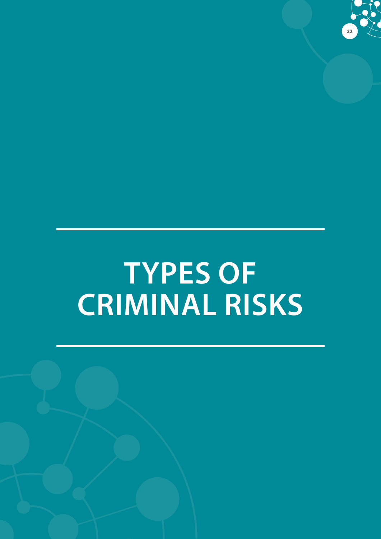

# **TYPES OF CRIMINAL RISKS**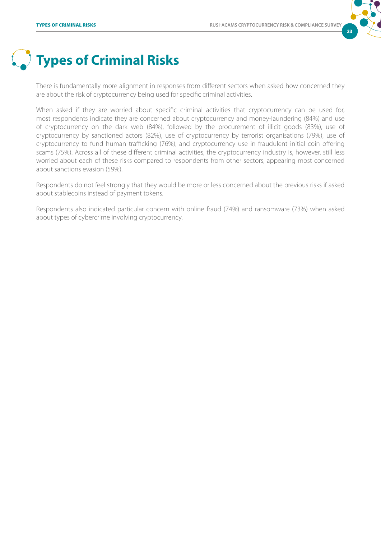

# **Types of Criminal Risks**

There is fundamentally more alignment in responses from different sectors when asked how concerned they are about the risk of cryptocurrency being used for specific criminal activities.

When asked if they are worried about specific criminal activities that cryptocurrency can be used for, most respondents indicate they are concerned about cryptocurrency and money-laundering (84%) and use of cryptocurrency on the dark web (84%), followed by the procurement of illicit goods (83%), use of cryptocurrency by sanctioned actors (82%), use of cryptocurrency by terrorist organisations (79%), use of cryptocurrency to fund human trafficking (76%), and cryptocurrency use in fraudulent initial coin offering scams (75%). Across all of these different criminal activities, the cryptocurrency industry is, however, still less worried about each of these risks compared to respondents from other sectors, appearing most concerned about sanctions evasion (59%).

Respondents do not feel strongly that they would be more or less concerned about the previous risks if asked about stablecoins instead of payment tokens.

Respondents also indicated particular concern with online fraud (74%) and ransomware (73%) when asked about types of cybercrime involving cryptocurrency.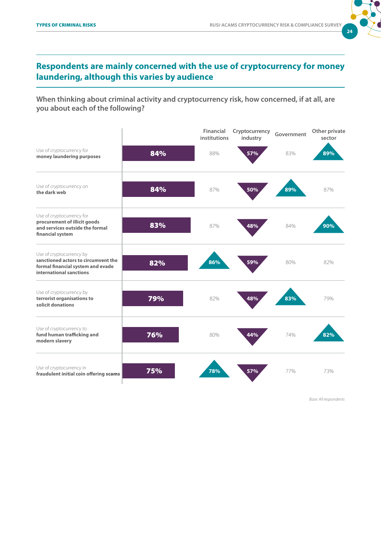

## **Respondents are mainly concerned with the use of cryptocurrency for money laundering, although this varies by audience**

**When thinking about criminal activity and cryptocurrency risk, how concerned, if at all, are you about each of the following?**

|                                                                                                                                 |     | <b>Financial</b><br>institutions | Cryptocurrency<br>industry | Government | Other private<br>sector |
|---------------------------------------------------------------------------------------------------------------------------------|-----|----------------------------------|----------------------------|------------|-------------------------|
| Use of cryptocurrency for<br>money laundering purposes                                                                          | 84% | 88%                              | 57%                        | 83%        | 89%                     |
| Use of cryptocurrency on<br>the dark web                                                                                        | 84% | 87%                              | 50%                        | 89%        | 87%                     |
| Use of cryptocurrency for<br>procurement of illicit goods<br>and services outside the formal<br>financial system                | 83% | 87%                              | 48%                        | 84%        | 90%                     |
| Use of cryptocurrency by<br>sanctioned actors to circumvent the<br>formal financial system and evade<br>international sanctions | 82% | 86%                              | 59%                        | 80%        | 82%                     |
| Use of cryptocurrency by<br>terrorist organisations to<br>solicit donations                                                     | 79% | 82%                              | 48%                        | 83%        | 79%                     |
| Use of cryptocurrency to<br>fund human trafficking and<br>modern slavery                                                        | 76% | 80%                              | 44%                        | 74%        | 82%                     |
| Use of cryptocurrency in<br>fraudulent initial coin offering scams                                                              | 75% | 78%                              | 57%                        | 77%        | 73%                     |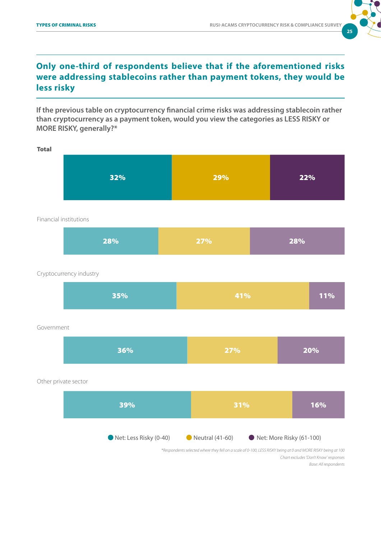

## **Only one-third of respondents believe that if the aforementioned risks were addressing stablecoins rather than payment tokens, they would be less risky**

**If the previous table on cryptocurrency financial crime risks was addressing stablecoin rather than cryptocurrency as a payment token, would you view the categories as LESS RISKY or MORE RISKY, generally?\*** 

Total



#### Financial institutions

| 28% | 27% | 28% |
|-----|-----|-----|
|     |     |     |

Cryptocurrency industry

| 35% | 41% | 11% |
|-----|-----|-----|
|     |     |     |

#### Government

| $ 36\% $ | 27% | 20% |
|----------|-----|-----|
|----------|-----|-----|

#### Other private sector



*Chart excludes 'Don't Know' responses \*Respondents selected where they fell on a scale of 0-100, LESS RISKY being at 0 and MORE RISKY being at 100*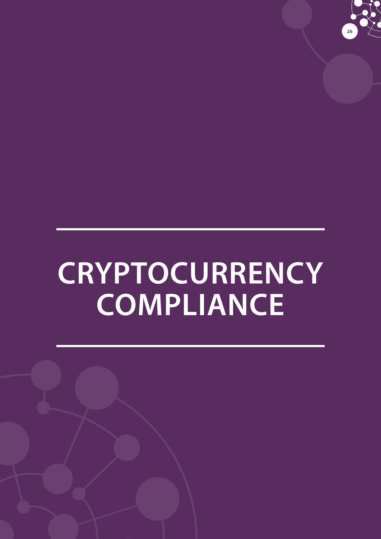

# **CRYPTOCURRENCY COMPLIANCE**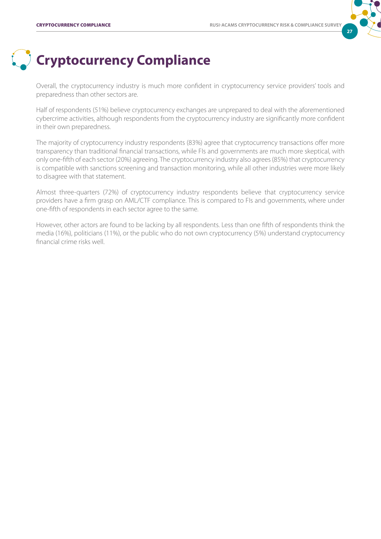

# **Cryptocurrency Compliance**

Overall, the cryptocurrency industry is much more confident in cryptocurrency service providers' tools and preparedness than other sectors are.

Half of respondents (51%) believe cryptocurrency exchanges are unprepared to deal with the aforementioned cybercrime activities, although respondents from the cryptocurrency industry are significantly more confident in their own preparedness.

The majority of cryptocurrency industry respondents (83%) agree that cryptocurrency transactions offer more transparency than traditional financial transactions, while FIs and governments are much more skeptical, with only one-fifth of each sector (20%) agreeing. The cryptocurrency industry also agrees (85%) that cryptocurrency is compatible with sanctions screening and transaction monitoring, while all other industries were more likely to disagree with that statement.

Almost three-quarters (72%) of cryptocurrency industry respondents believe that cryptocurrency service providers have a firm grasp on AML/CTF compliance. This is compared to FIs and governments, where under one-fifth of respondents in each sector agree to the same.

However, other actors are found to be lacking by all respondents. Less than one fifth of respondents think the media (16%), politicians (11%), or the public who do not own cryptocurrency (5%) understand cryptocurrency financial crime risks well.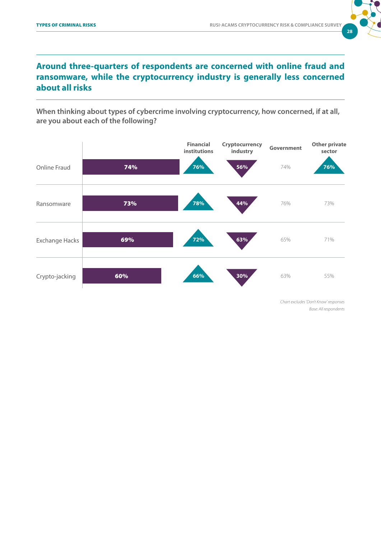

## **Around three-quarters of respondents are concerned with online fraud and ransomware, while the cryptocurrency industry is generally less concerned about all risks**

**When thinking about types of cybercrime involving cryptocurrency, how concerned, if at all, are you about each of the following?**



*Base: All respondents Chart excludes 'Don't Know' responses*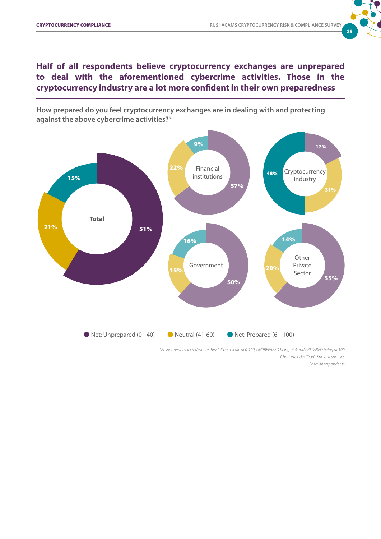

**Half of all respondents believe cryptocurrency exchanges are unprepared to deal with the aforementioned cybercrime activities. Those in the cryptocurrency industry are a lot more confident in their own preparedness**

**How prepared do you feel cryptocurrency exchanges are in dealing with and protecting against the above cybercrime activities?\***



*Base: All respondents Chart excludes 'Don't Know' responses \*Respondents selected where they fell on a scale of 0-100, UNPREPARED being at 0 and PREPARED being at 100*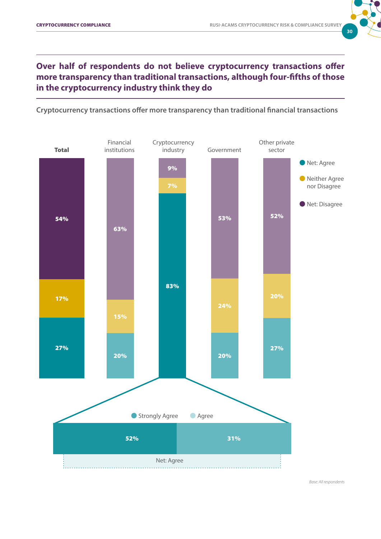

## **Over half of respondents do not believe cryptocurrency transactions offer more transparency than traditional transactions, although four-fifths of those in the cryptocurrency industry think they do**

**Cryptocurrency transactions offer more transparency than traditional financial transactions**

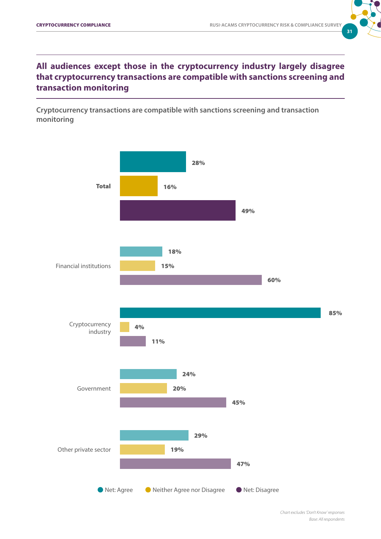

## **All audiences except those in the cryptocurrency industry largely disagree that cryptocurrency transactions are compatible with sanctions screening and transaction monitoring**

**Cryptocurrency transactions are compatible with sanctions screening and transaction monitoring**

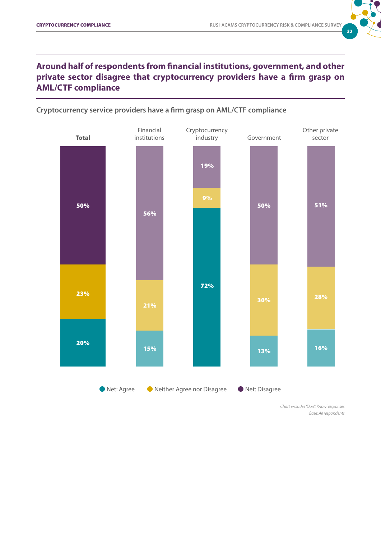

### **Around half of respondents from financial institutions, government, and other private sector disagree that cryptocurrency providers have a firm grasp on AML/CTF compliance**





*Base: All respondents Chart excludes 'Don't Know' responses*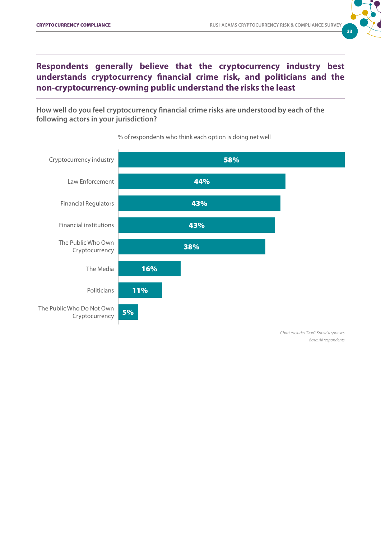

## **Respondents generally believe that the cryptocurrency industry best understands cryptocurrency financial crime risk, and politicians and the non-cryptocurrency-owning public understand the risks the least**

**How well do you feel cryptocurrency financial crime risks are understood by each of the following actors in your jurisdiction?**



#### % of respondents who think each option is doing net well

*Chart excludes 'Don't Know' responses Base: All respondents*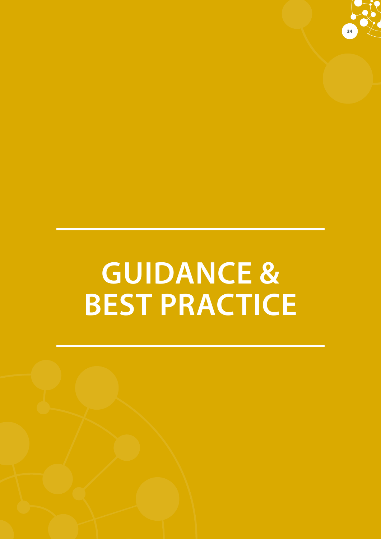

# **GUIDANCE & BEST PRACTICE**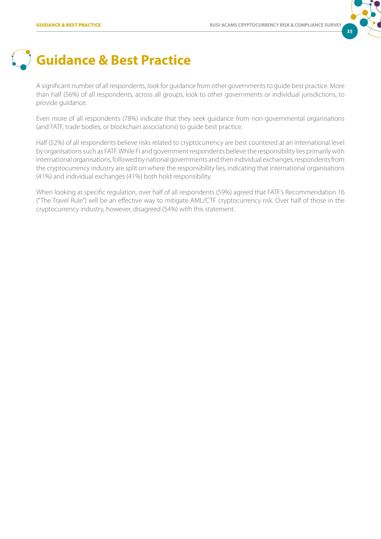

# **Guidance & Best Practice**

A significant number of all respondents, look for guidance from other governments to guide best practice. More than half (56%) of all respondents, across all groups, look to other governments or individual jurisdictions, to provide guidance.

Even more of all respondents (78%) indicate that they seek guidance from non-governmental organisations (and FATF, trade bodies, or blockchain associations) to guide best practice.

Half (52%) of all respondents believe risks related to cryptocurrency are best countered at an international level by organisations such as FATF. While FI and government respondents believe the responsibility lies primarily with international organisations, followed by national governments and then individual exchanges, respondents from the cryptocurrency industry are split on where the responsibility lies, indicating that international organisations (41%) and individual exchanges (41%) both hold responsibility.

When looking at specific regulation, over half of all respondents (59%) agreed that FATF's Recommendation 16 ("The Travel Rule") will be an effective way to mitigate AML/CTF cryptocurrency risk. Over half of those in the cryptocurrency industry, however, disagreed (54%) with this statement.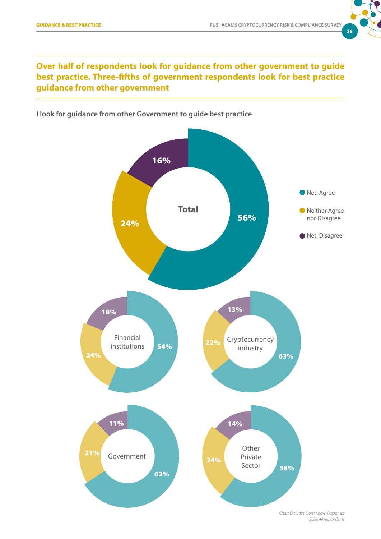

### **Over half of respondents look for guidance from other government to guide best practice. Three-fifths of government respondents look for best practice guidance from other government**

**I look for guidance from other Government to guide best practice**

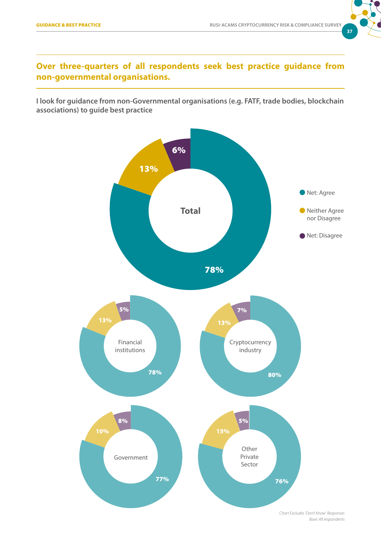

### **Over three-quarters of all respondents seek best practice guidance from non-governmental organisations.**

**I look for guidance from non-Governmental organisations (e.g. FATF, trade bodies, blockchain associations) to guide best practice**

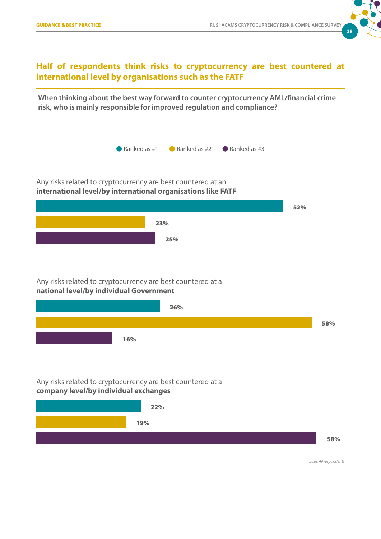

### **Half of respondents think risks to cryptocurrency are best countered at international level by organisations such as the FATF**

**When thinking about the best way forward to counter cryptocurrency AML/financial crime risk, who is mainly responsible for improved regulation and compliance?** 



Any risks related to cryptocurrency are best countered at an **international level/by international organisations like FATF**



#### Any risks related to cryptocurrency are best countered at a **national level/by individual Government**



Any risks related to cryptocurrency are best countered at a **company level/by individual exchanges**

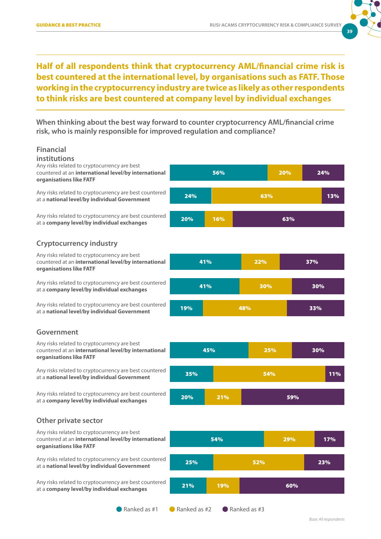

## **Half of all respondents think that cryptocurrency AML/financial crime risk is best countered at the international level, by organisations such as FATF. Those working in the cryptocurrency industry are twice as likely as other respondents to think risks are best countered at company level by individual exchanges**

**When thinking about the best way forward to counter cryptocurrency AML/financial crime risk, who is mainly responsible for improved regulation and compliance?** 

#### **Financial**

#### **institutions**

Any risks related to cryptocurrency are best countered at an **international level/by international organisations like FATF**

Any risks related to cryptocurrency are best countered at a **national level/by individual Government**

Any risks related to cryptocurrency are best countered at a **company level/by individual exchanges**

## **Cryptocurrency industry**

Any risks related to cryptocurrency are best countered at an **international level/by international organisations like FATF**

at a **company level/by individual exchanges**

Any risks related to cryptocurrency are best countered at a **national level/by individual Government**

#### **Government**

Any risks related to cryptocurrency are best countered at an **international level/by international organisations like FATF**

Any risks related to cryptocurrency are best countered at a **national level/by individual Government**

Any risks related to cryptocurrency are best countered at a **company level/by individual exchanges**

# 56% 20% 24% 24% 63% 13% 20% 16% 63%





#### **Other private sector**

Any risks related to cryptocurrency are best countered at an **international level/by international organisations like FATF**

Any risks related to cryptocurrency are best countered at a **national level/by individual Government**

Any risks related to cryptocurrency are best countered at a **company level/by individual exchanges**

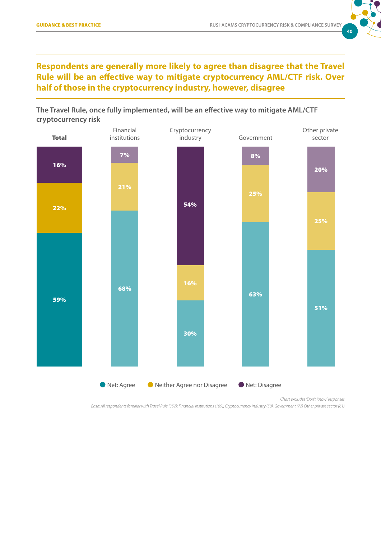

## **Respondents are generally more likely to agree than disagree that the Travel Rule will be an effective way to mitigate cryptocurrency AML/CTF risk. Over half of those in the cryptocurrency industry, however, disagree**





*Chart excludes 'Don't Know' responses*

*Base: All respondents familiar with Travel Rule (352); Financial institutions (169), Cryptocurrency industry (50), Government (72) Other private sector (61)*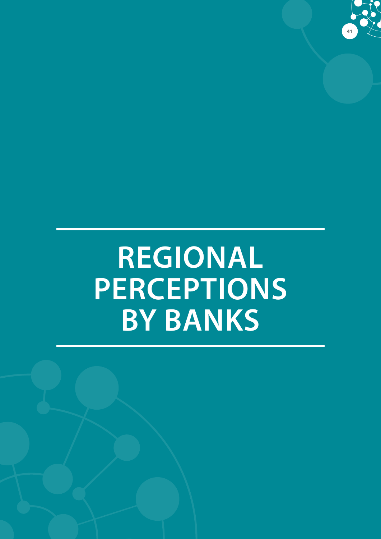

# **REGIONAL PERCEPTIONS BY BANKS**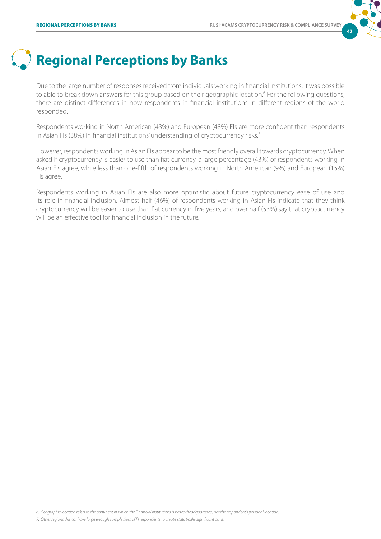

# **Regional Perceptions by Banks**

Due to the large number of responses received from individuals working in financial institutions, it was possible to able to break down answers for this group based on their geographic location.<sup>6</sup> For the following questions, there are distinct differences in how respondents in financial institutions in different regions of the world responded.

Respondents working in North American (43%) and European (48%) FIs are more confident than respondents in Asian FIs (38%) in financial institutions' understanding of cryptocurrency risks.<sup>7</sup>

However, respondents working in Asian FIs appear to be the most friendly overall towards cryptocurrency. When asked if cryptocurrency is easier to use than fiat currency, a large percentage (43%) of respondents working in Asian FIs agree, while less than one-fifth of respondents working in North American (9%) and European (15%) FIs agree.

Respondents working in Asian FIs are also more optimistic about future cryptocurrency ease of use and its role in financial inclusion. Almost half (46%) of respondents working in Asian FIs indicate that they think cryptocurrency will be easier to use than fiat currency in five years, and over half (53%) say that cryptocurrency will be an effective tool for financial inclusion in the future.

*6. Geographic location refers to the continent in which the Financial institutions is based/headquartered, not the respondent's personal location.*

*7. Other regions did not have large enough sample sizes of FI respondents to create statistically significant data.*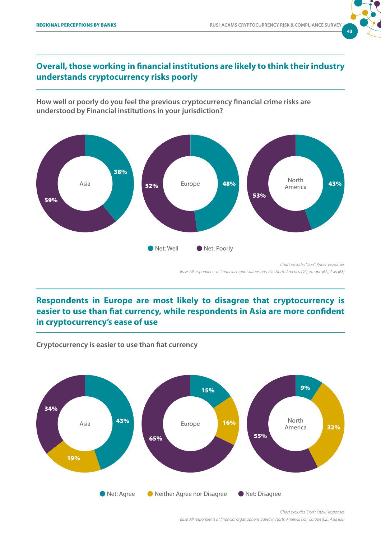

## **Overall, those working in financial institutions are likely to think their industry understands cryptocurrency risks poorly**

**How well or poorly do you feel the previous cryptocurrency financial crime risks are understood by Financial institutions in your jurisdiction?** 



## **Respondents in Europe are most likely to disagree that cryptocurrency is easier to use than fiat currency, while respondents in Asia are more confident in cryptocurrency's ease of use**



**Cryptocurrency is easier to use than fiat currency**

*Chart excludes 'Don't Know' responses Base: All respondents at financial organisations based in North America (92), Europe (62), Asia (68)*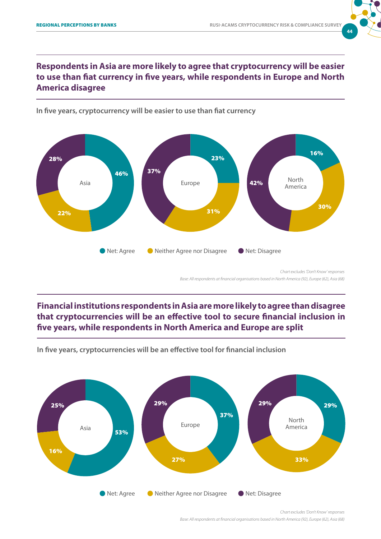

### **Respondents in Asia are more likely to agree that cryptocurrency will be easier to use than fiat currency in five years, while respondents in Europe and North America disagree**



#### **In five years, cryptocurrency will be easier to use than fiat currency**

### **Financial institutions respondents in Asia are more likely to agree than disagree that cryptocurrencies will be an effective tool to secure financial inclusion in five years, while respondents in North America and Europe are split**



**In five years, cryptocurrencies will be an effective tool for financial inclusion**

*Chart excludes 'Don't Know' responses Base: All respondents at financial organisations based in North America (92), Europe (62), Asia (68)*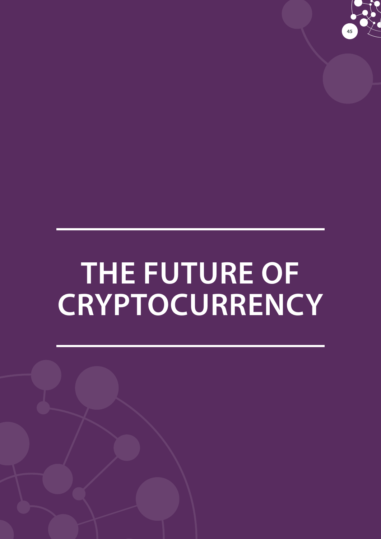

# **THE FUTURE OF CRYPTOCURRENCY**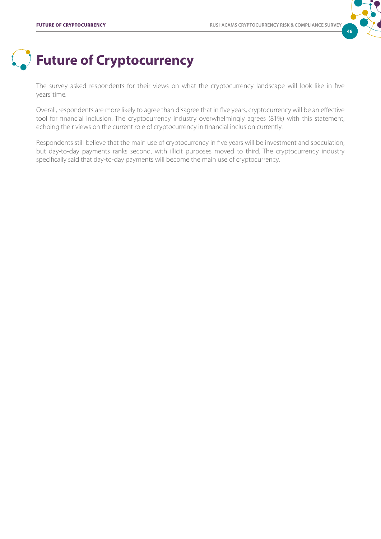

# **Future of Cryptocurrency**

The survey asked respondents for their views on what the cryptocurrency landscape will look like in five years' time.

Overall, respondents are more likely to agree than disagree that in five years, cryptocurrency will be an effective tool for financial inclusion. The cryptocurrency industry overwhelmingly agrees (81%) with this statement, echoing their views on the current role of cryptocurrency in financial inclusion currently.

Respondents still believe that the main use of cryptocurrency in five years will be investment and speculation, but day-to-day payments ranks second, with illicit purposes moved to third. The cryptocurrency industry specifically said that day-to-day payments will become the main use of cryptocurrency.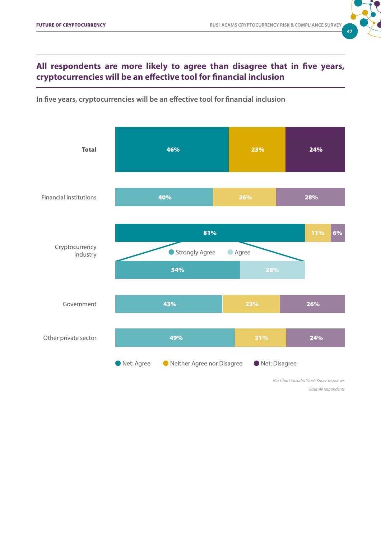# **47**

### **All respondents are more likely to agree than disagree that in five years, cryptocurrencies will be an effective tool for financial inclusion**

**In five years, cryptocurrencies will be an effective tool for financial inclusion**

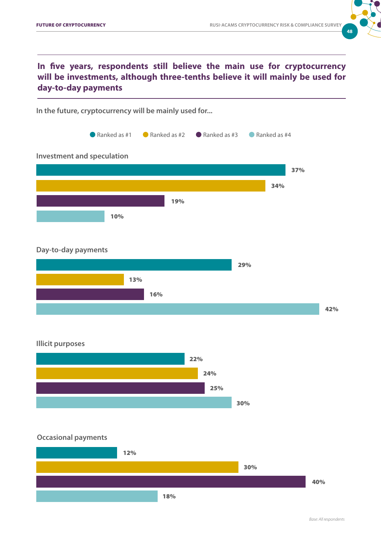

## **In five years, respondents still believe the main use for cryptocurrency will be investments, although three-tenths believe it will mainly be used for day-to-day payments**



#### **Day-to-day payments**



#### **Illicit purposes**



#### **Occasional payments**

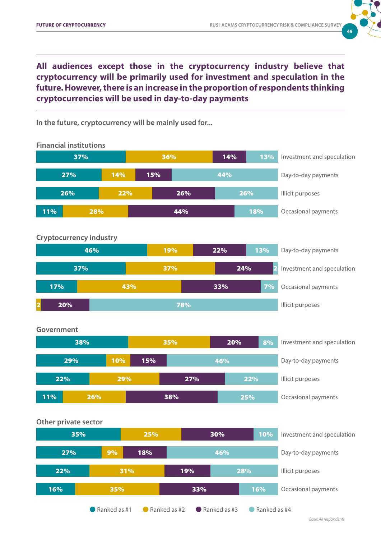

**All audiences except those in the cryptocurrency industry believe that cryptocurrency will be primarily used for investment and speculation in the future. However, there is an increase in the proportion of respondents thinking cryptocurrencies will be used in day-to-day payments**

**In the future, cryptocurrency will be mainly used for...**

**Cryptocurrency industry** 37% 37% 24% 2 Investment and speculation 2 20% 78% Illicit purposes 17% 17% 17% 43% 43% 33% 33% 7% Occasional payments **Crystal 11% 28% Financial institutions**  Investment and speculation Day-to-day payments Occasional payments Illicit purposes 37% 36% 14% 13% 27% 14% 15% 44% 11% <mark>28% 28% 44% 2001 18%</mark> 26% 22% 26% 26% **Government** Investment and speculation Day-to-day payments Occasional payments Illicit purposes 38% 35% 20% 8% 29% 10% 15% 46% 11% 26% 38% 25% 22% 29% 27% 22% **Other private sector** Investment and speculation Day-to-day payments Illicit purposes 35% 25% 30% 10% 27% 9% 18% 46% 22% 31% 19% 28% **46%** 19% 19% 22% 13% Day-to-day payments

**C** Ranked as  $#1$  C Ranked as  $#2$  C Ranked as  $#3$  C Ranked as  $#4$ 

16% 35% 33% 16%

Occasional payments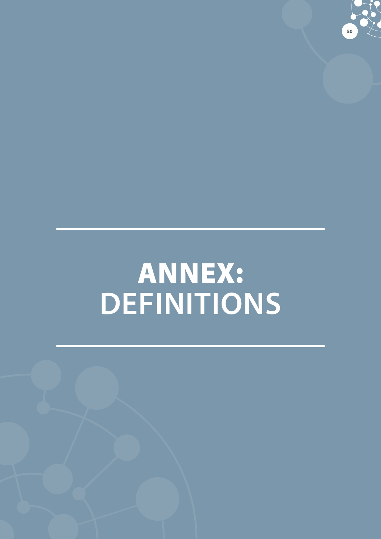

# ANNEX: **DEFINITIONS**